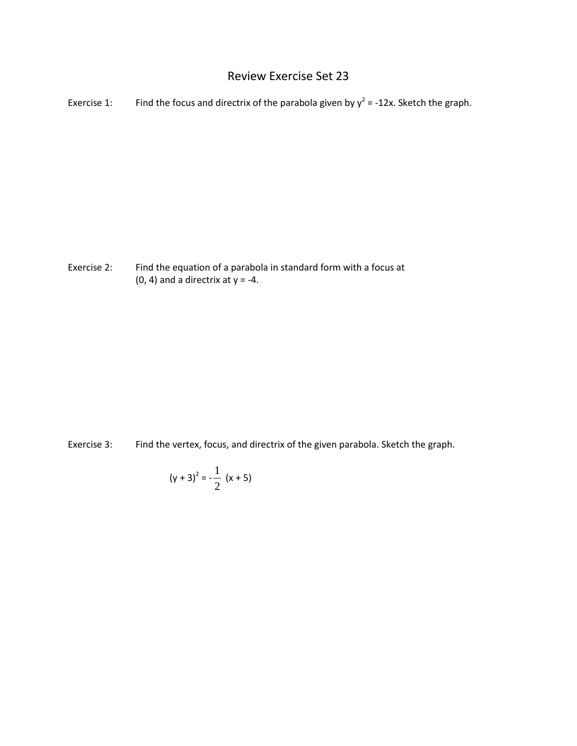## Review Exercise Set 23

Exercise 1: Find the focus and directrix of the parabola given by  $y^2 = -12x$ . Sketch the graph.

Exercise 2: Find the equation of a parabola in standard form with a focus at  $(0, 4)$  and a directrix at  $y = -4$ .

Exercise 3: Find the vertex, focus, and directrix of the given parabola. Sketch the graph.

$$
(y+3)^2 = -\frac{1}{2} (x+5)
$$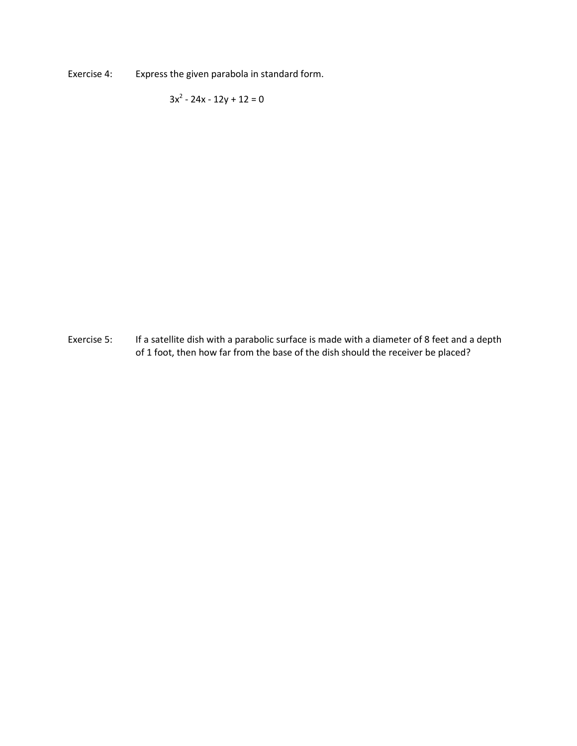Exercise 4: Express the given parabola in standard form.

 $3x^2 - 24x - 12y + 12 = 0$ 

Exercise 5: If a satellite dish with a parabolic surface is made with a diameter of 8 feet and a depth of 1 foot, then how far from the base of the dish should the receiver be placed?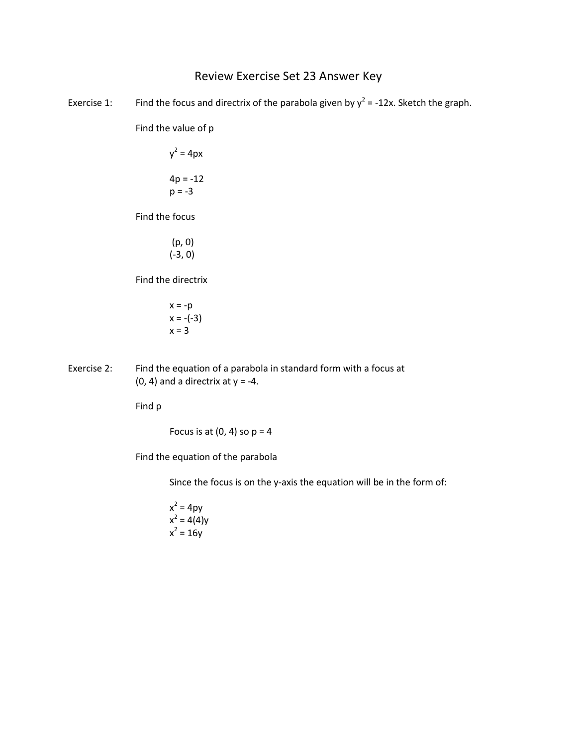## Review Exercise Set 23 Answer Key

Exercise 1: Find the focus and directrix of the parabola given by  $y^2 = -12x$ . Sketch the graph.

Find the value of p

 $y^2 = 4px$  $4p = -12$  $p = -3$ 

Find the focus

(p, 0) (-3, 0)

Find the directrix

- $x = -p$  $x = -(-3)$  $x = 3$
- Exercise 2: Find the equation of a parabola in standard form with a focus at  $(0, 4)$  and a directrix at  $y = -4$ .

Find p

Focus is at  $(0, 4)$  so  $p = 4$ 

Find the equation of the parabola

Since the focus is on the y-axis the equation will be in the form of:

 $x^2 = 4py$  $x^2 = 4(4)y$  $x^2 = 16y$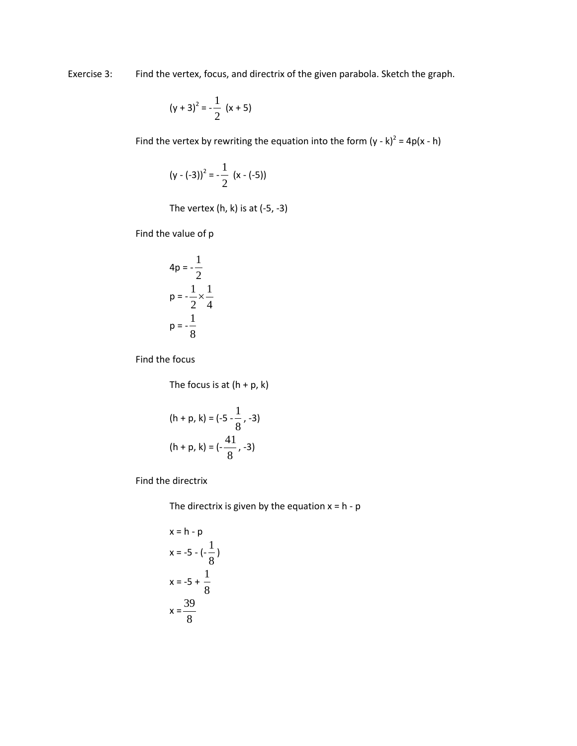Exercise 3: Find the vertex, focus, and directrix of the given parabola. Sketch the graph.

$$
(y+3)^2 = -\frac{1}{2} (x+5)
$$

Find the vertex by rewriting the equation into the form  $(y - k)^2 = 4p(x - h)$ 

$$
(y - (-3))^2 = -\frac{1}{2} (x - (-5))
$$

The vertex  $(h, k)$  is at  $(-5, -3)$ 

Find the value of p

$$
4p = -\frac{1}{2}
$$
  

$$
p = -\frac{1}{2} \times \frac{1}{4}
$$
  

$$
p = -\frac{1}{8}
$$

Find the focus

The focus is at  $(h + p, k)$ 

$$
(h + p, k) = (-5 - \frac{1}{8}, -3)
$$

$$
(h + p, k) = (-\frac{41}{8}, -3)
$$

Find the directrix

The directrix is given by the equation  $x = h - p$ 

$$
x = h - p
$$
  
\n
$$
x = -5 - (-\frac{1}{8})
$$
  
\n
$$
x = -5 + \frac{1}{8}
$$
  
\n
$$
x = \frac{39}{8}
$$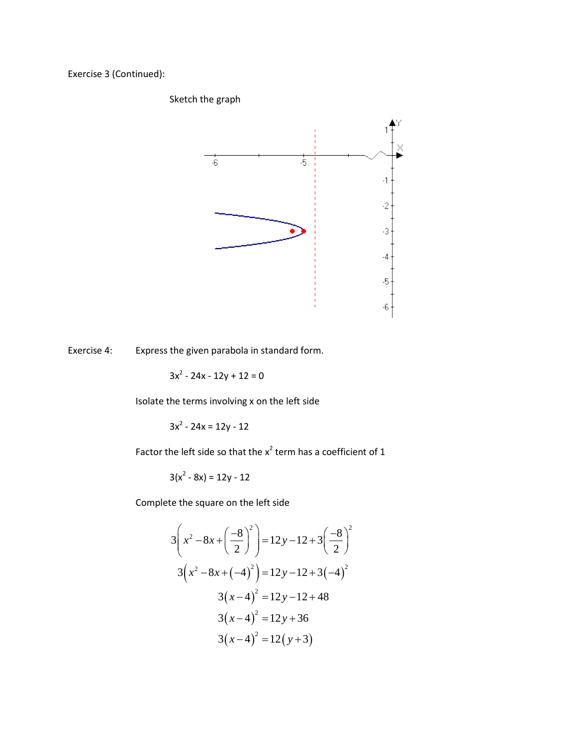Exercise 3 (Continued):

Sketch the graph



Exercise 4: Express the given parabola in standard form.

 $3x^{2} - 24x - 12y + 12 = 0$ 

Isolate the terms involving x on the left side

 $3x^2 - 24x = 12y - 12$ 

Factor the left side so that the  $x^2$  term has a coefficient of 1

 $3(x^2 - 8x) = 12y - 12$ 

Complete the square on the left side

$$
3\left(x^2 - 8x + \left(\frac{-8}{2}\right)^2\right) = 12y - 12 + 3\left(\frac{-8}{2}\right)^2
$$
  

$$
3\left(x^2 - 8x + \left(-4\right)^2\right) = 12y - 12 + 3\left(-4\right)^2
$$
  

$$
3\left(x - 4\right)^2 = 12y - 12 + 48
$$
  

$$
3\left(x - 4\right)^2 = 12y + 36
$$
  

$$
3\left(x - 4\right)^2 = 12\left(y + 3\right)
$$